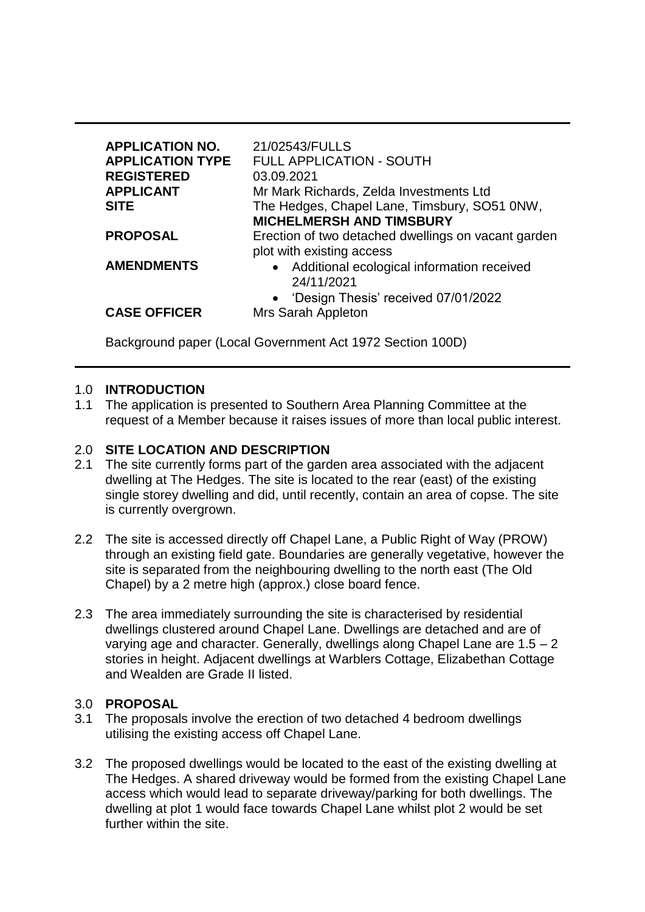| <b>APPLICATION NO.</b><br><b>APPLICATION TYPE</b><br><b>REGISTERED</b><br><b>APPLICANT</b><br><b>SITE</b> | 21/02543/FULLS<br><b>FULL APPLICATION - SOUTH</b><br>03.09.2021<br>Mr Mark Richards, Zelda Investments Ltd<br>The Hedges, Chapel Lane, Timsbury, SO51 0NW,<br><b>MICHELMERSH AND TIMSBURY</b> |
|-----------------------------------------------------------------------------------------------------------|-----------------------------------------------------------------------------------------------------------------------------------------------------------------------------------------------|
| <b>PROPOSAL</b>                                                                                           | Erection of two detached dwellings on vacant garden<br>plot with existing access                                                                                                              |
| <b>AMENDMENTS</b>                                                                                         | • Additional ecological information received<br>24/11/2021<br>• 'Design Thesis' received 07/01/2022                                                                                           |
| <b>CASE OFFICER</b>                                                                                       | Mrs Sarah Appleton                                                                                                                                                                            |

Background paper (Local Government Act 1972 Section 100D)

#### 1.0 **INTRODUCTION**

1.1 The application is presented to Southern Area Planning Committee at the request of a Member because it raises issues of more than local public interest.

## 2.0 **SITE LOCATION AND DESCRIPTION**

- 2.1 The site currently forms part of the garden area associated with the adjacent dwelling at The Hedges. The site is located to the rear (east) of the existing single storey dwelling and did, until recently, contain an area of copse. The site is currently overgrown.
- 2.2 The site is accessed directly off Chapel Lane, a Public Right of Way (PROW) through an existing field gate. Boundaries are generally vegetative, however the site is separated from the neighbouring dwelling to the north east (The Old Chapel) by a 2 metre high (approx.) close board fence.
- 2.3 The area immediately surrounding the site is characterised by residential dwellings clustered around Chapel Lane. Dwellings are detached and are of varying age and character. Generally, dwellings along Chapel Lane are 1.5 – 2 stories in height. Adjacent dwellings at Warblers Cottage, Elizabethan Cottage and Wealden are Grade II listed.

#### 3.0 **PROPOSAL**

- 3.1 The proposals involve the erection of two detached 4 bedroom dwellings utilising the existing access off Chapel Lane.
- 3.2 The proposed dwellings would be located to the east of the existing dwelling at The Hedges. A shared driveway would be formed from the existing Chapel Lane access which would lead to separate driveway/parking for both dwellings. The dwelling at plot 1 would face towards Chapel Lane whilst plot 2 would be set further within the site.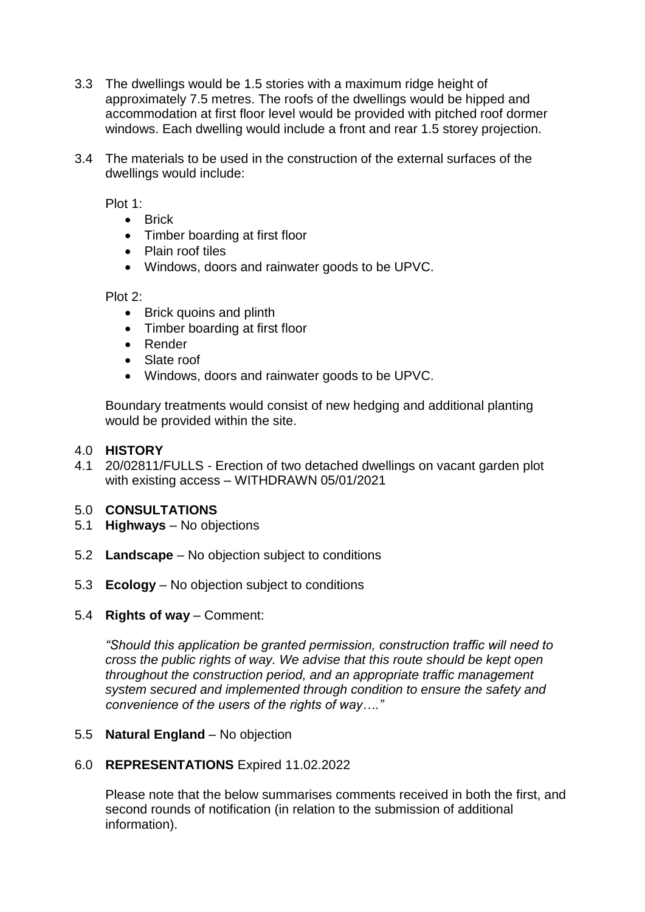- 3.3 The dwellings would be 1.5 stories with a maximum ridge height of approximately 7.5 metres. The roofs of the dwellings would be hipped and accommodation at first floor level would be provided with pitched roof dormer windows. Each dwelling would include a front and rear 1.5 storey projection.
- 3.4 The materials to be used in the construction of the external surfaces of the dwellings would include:

Plot 1:

- Brick
- Timber boarding at first floor
- Plain roof tiles
- Windows, doors and rainwater goods to be UPVC.

Plot 2:

- Brick quoins and plinth
- Timber boarding at first floor
- Render
- Slate roof
- Windows, doors and rainwater goods to be UPVC.

Boundary treatments would consist of new hedging and additional planting would be provided within the site.

#### 4.0 **HISTORY**

4.1 20/02811/FULLS - Erection of two detached dwellings on vacant garden plot with existing access – WITHDRAWN 05/01/2021

#### 5.0 **CONSULTATIONS**

- 5.1 **Highways**  No objections
- 5.2 **Landscape**  No objection subject to conditions
- 5.3 **Ecology** No objection subject to conditions
- 5.4 **Rights of way**  Comment:

*"Should this application be granted permission, construction traffic will need to cross the public rights of way. We advise that this route should be kept open throughout the construction period, and an appropriate traffic management system secured and implemented through condition to ensure the safety and convenience of the users of the rights of way…."* 

#### 5.5 **Natural England** – No objection

#### 6.0 **REPRESENTATIONS** Expired 11.02.2022

Please note that the below summarises comments received in both the first, and second rounds of notification (in relation to the submission of additional information).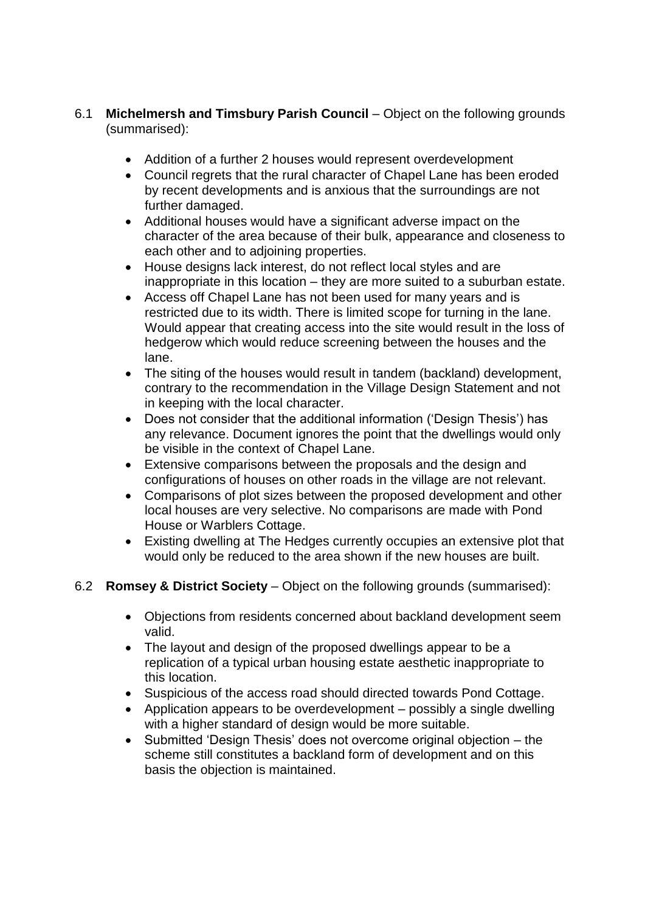- 6.1 **Michelmersh and Timsbury Parish Council** Object on the following grounds (summarised):
	- Addition of a further 2 houses would represent overdevelopment
	- Council regrets that the rural character of Chapel Lane has been eroded by recent developments and is anxious that the surroundings are not further damaged.
	- Additional houses would have a significant adverse impact on the character of the area because of their bulk, appearance and closeness to each other and to adjoining properties.
	- House designs lack interest, do not reflect local styles and are inappropriate in this location – they are more suited to a suburban estate.
	- Access off Chapel Lane has not been used for many years and is restricted due to its width. There is limited scope for turning in the lane. Would appear that creating access into the site would result in the loss of hedgerow which would reduce screening between the houses and the lane.
	- The siting of the houses would result in tandem (backland) development, contrary to the recommendation in the Village Design Statement and not in keeping with the local character.
	- Does not consider that the additional information ('Design Thesis') has any relevance. Document ignores the point that the dwellings would only be visible in the context of Chapel Lane.
	- Extensive comparisons between the proposals and the design and configurations of houses on other roads in the village are not relevant.
	- Comparisons of plot sizes between the proposed development and other local houses are very selective. No comparisons are made with Pond House or Warblers Cottage.
	- Existing dwelling at The Hedges currently occupies an extensive plot that would only be reduced to the area shown if the new houses are built.
- 6.2 **Romsey & District Society**  Object on the following grounds (summarised):
	- Objections from residents concerned about backland development seem valid.
	- The layout and design of the proposed dwellings appear to be a replication of a typical urban housing estate aesthetic inappropriate to this location.
	- Suspicious of the access road should directed towards Pond Cottage.
	- Application appears to be overdevelopment possibly a single dwelling with a higher standard of design would be more suitable.
	- Submitted 'Design Thesis' does not overcome original objection the scheme still constitutes a backland form of development and on this basis the objection is maintained.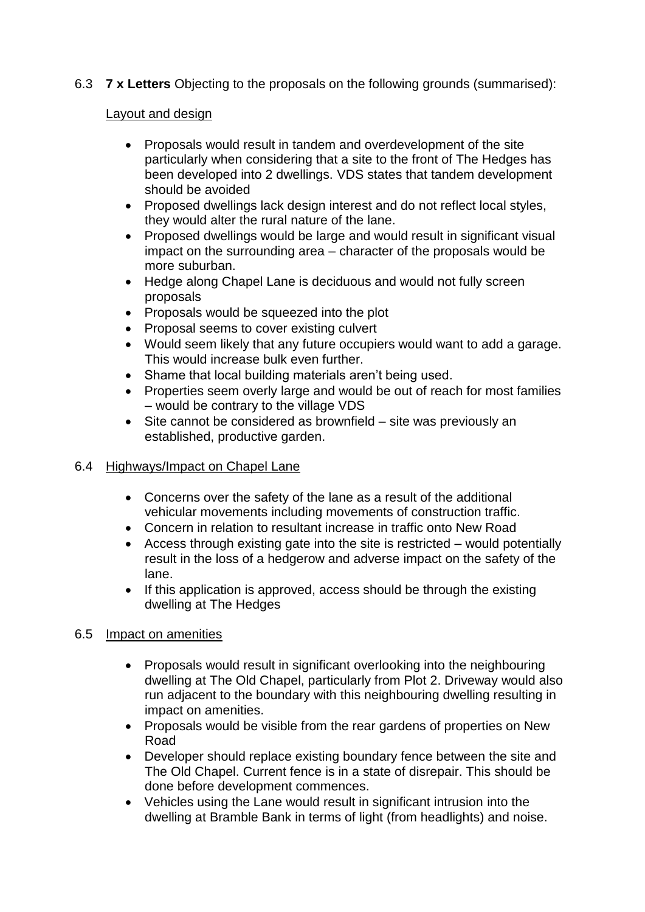6.3 **7 x Letters** Objecting to the proposals on the following grounds (summarised):

## Layout and design

- Proposals would result in tandem and overdevelopment of the site particularly when considering that a site to the front of The Hedges has been developed into 2 dwellings. VDS states that tandem development should be avoided
- Proposed dwellings lack design interest and do not reflect local styles, they would alter the rural nature of the lane.
- Proposed dwellings would be large and would result in significant visual impact on the surrounding area – character of the proposals would be more suburban.
- Hedge along Chapel Lane is deciduous and would not fully screen proposals
- Proposals would be squeezed into the plot
- Proposal seems to cover existing culvert
- Would seem likely that any future occupiers would want to add a garage. This would increase bulk even further.
- Shame that local building materials aren't being used.
- Properties seem overly large and would be out of reach for most families – would be contrary to the village VDS
- Site cannot be considered as brownfield site was previously an established, productive garden.

# 6.4 Highways/Impact on Chapel Lane

- Concerns over the safety of the lane as a result of the additional vehicular movements including movements of construction traffic.
- Concern in relation to resultant increase in traffic onto New Road
- Access through existing gate into the site is restricted would potentially result in the loss of a hedgerow and adverse impact on the safety of the lane.
- If this application is approved, access should be through the existing dwelling at The Hedges

# 6.5 Impact on amenities

- Proposals would result in significant overlooking into the neighbouring dwelling at The Old Chapel, particularly from Plot 2. Driveway would also run adjacent to the boundary with this neighbouring dwelling resulting in impact on amenities.
- Proposals would be visible from the rear gardens of properties on New Road
- Developer should replace existing boundary fence between the site and The Old Chapel. Current fence is in a state of disrepair. This should be done before development commences.
- Vehicles using the Lane would result in significant intrusion into the dwelling at Bramble Bank in terms of light (from headlights) and noise.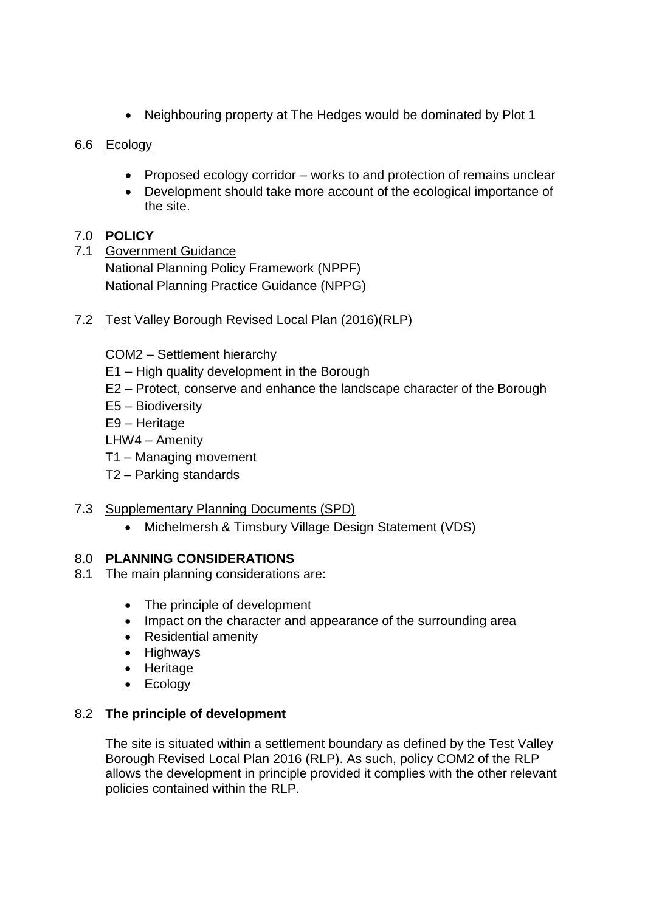• Neighbouring property at The Hedges would be dominated by Plot 1

# 6.6 Ecology

- Proposed ecology corridor works to and protection of remains unclear
- Development should take more account of the ecological importance of the site.

# 7.0 **POLICY**

7.1 Government Guidance National Planning Policy Framework (NPPF) National Planning Practice Guidance (NPPG)

# 7.2 Test Valley Borough Revised Local Plan (2016)(RLP)

COM2 – Settlement hierarchy

- E1 High quality development in the Borough
- E2 Protect, conserve and enhance the landscape character of the Borough
- E5 Biodiversity

E9 – Heritage

LHW4 – Amenity

- T1 Managing movement
- T2 Parking standards

# 7.3 Supplementary Planning Documents (SPD)

• Michelmersh & Timsbury Village Design Statement (VDS)

# 8.0 **PLANNING CONSIDERATIONS**

- 8.1 The main planning considerations are:
	- The principle of development
	- Impact on the character and appearance of the surrounding area
	- Residential amenity
	- Highways
	- Heritage
	- Ecology

# 8.2 **The principle of development**

The site is situated within a settlement boundary as defined by the Test Valley Borough Revised Local Plan 2016 (RLP). As such, policy COM2 of the RLP allows the development in principle provided it complies with the other relevant policies contained within the RLP.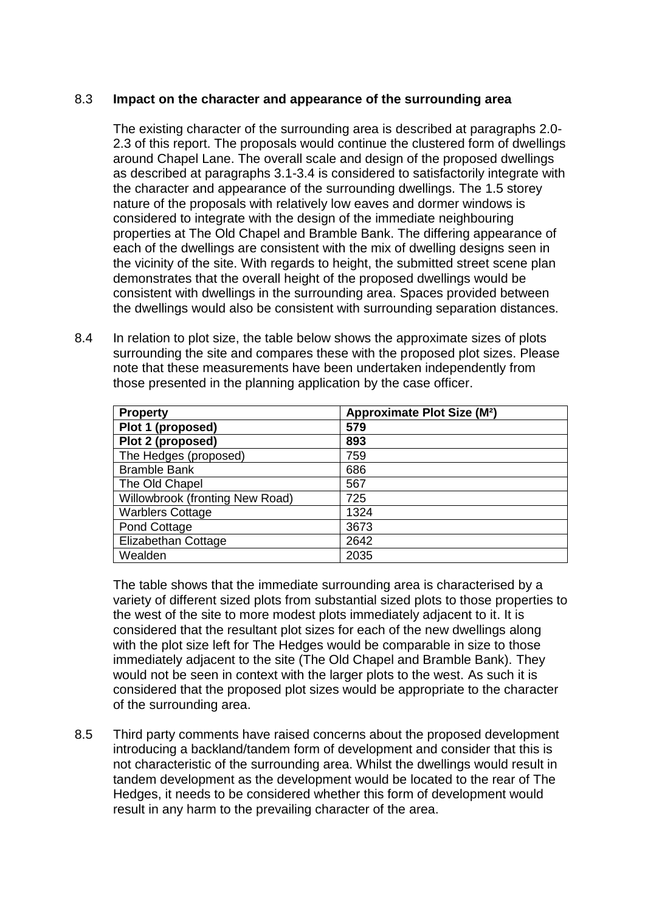## 8.3 **Impact on the character and appearance of the surrounding area**

The existing character of the surrounding area is described at paragraphs 2.0- 2.3 of this report. The proposals would continue the clustered form of dwellings around Chapel Lane. The overall scale and design of the proposed dwellings as described at paragraphs 3.1-3.4 is considered to satisfactorily integrate with the character and appearance of the surrounding dwellings. The 1.5 storey nature of the proposals with relatively low eaves and dormer windows is considered to integrate with the design of the immediate neighbouring properties at The Old Chapel and Bramble Bank. The differing appearance of each of the dwellings are consistent with the mix of dwelling designs seen in the vicinity of the site. With regards to height, the submitted street scene plan demonstrates that the overall height of the proposed dwellings would be consistent with dwellings in the surrounding area. Spaces provided between the dwellings would also be consistent with surrounding separation distances.

8.4 In relation to plot size, the table below shows the approximate sizes of plots surrounding the site and compares these with the proposed plot sizes. Please note that these measurements have been undertaken independently from those presented in the planning application by the case officer.

| <b>Property</b>                 | Approximate Plot Size (M <sup>2</sup> ) |  |
|---------------------------------|-----------------------------------------|--|
| Plot 1 (proposed)               | 579                                     |  |
| Plot 2 (proposed)               | 893                                     |  |
| The Hedges (proposed)           | 759                                     |  |
| <b>Bramble Bank</b>             | 686                                     |  |
| The Old Chapel                  | 567                                     |  |
| Willowbrook (fronting New Road) | 725                                     |  |
| <b>Warblers Cottage</b>         | 1324                                    |  |
| Pond Cottage                    | 3673                                    |  |
| Elizabethan Cottage             | 2642                                    |  |
| Wealden                         | 2035                                    |  |

The table shows that the immediate surrounding area is characterised by a variety of different sized plots from substantial sized plots to those properties to the west of the site to more modest plots immediately adjacent to it. It is considered that the resultant plot sizes for each of the new dwellings along with the plot size left for The Hedges would be comparable in size to those immediately adjacent to the site (The Old Chapel and Bramble Bank). They would not be seen in context with the larger plots to the west. As such it is considered that the proposed plot sizes would be appropriate to the character of the surrounding area.

8.5 Third party comments have raised concerns about the proposed development introducing a backland/tandem form of development and consider that this is not characteristic of the surrounding area. Whilst the dwellings would result in tandem development as the development would be located to the rear of The Hedges, it needs to be considered whether this form of development would result in any harm to the prevailing character of the area.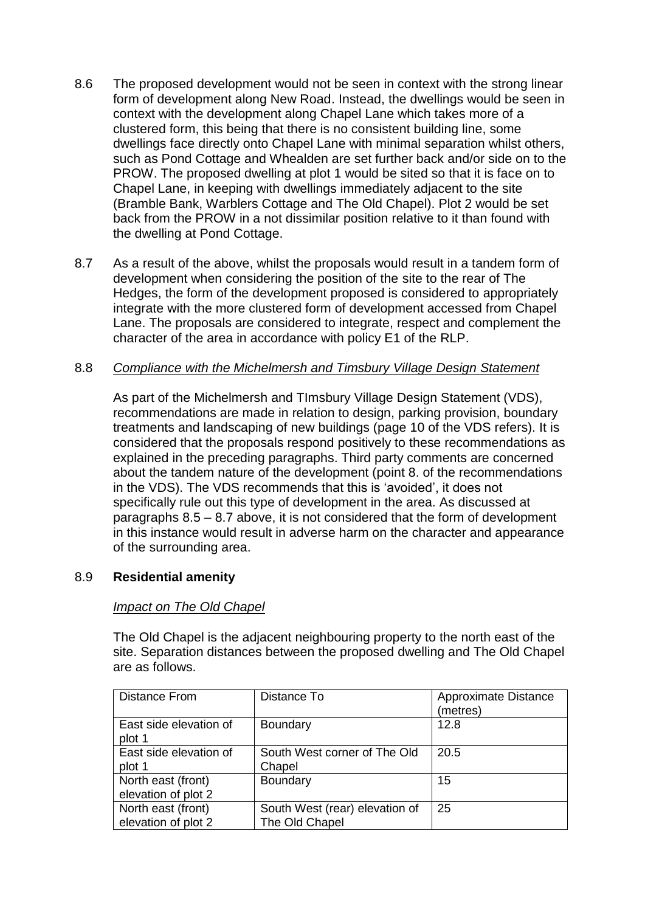- 8.6 The proposed development would not be seen in context with the strong linear form of development along New Road. Instead, the dwellings would be seen in context with the development along Chapel Lane which takes more of a clustered form, this being that there is no consistent building line, some dwellings face directly onto Chapel Lane with minimal separation whilst others, such as Pond Cottage and Whealden are set further back and/or side on to the PROW. The proposed dwelling at plot 1 would be sited so that it is face on to Chapel Lane, in keeping with dwellings immediately adjacent to the site (Bramble Bank, Warblers Cottage and The Old Chapel). Plot 2 would be set back from the PROW in a not dissimilar position relative to it than found with the dwelling at Pond Cottage.
- 8.7 As a result of the above, whilst the proposals would result in a tandem form of development when considering the position of the site to the rear of The Hedges, the form of the development proposed is considered to appropriately integrate with the more clustered form of development accessed from Chapel Lane. The proposals are considered to integrate, respect and complement the character of the area in accordance with policy E1 of the RLP.

#### 8.8 *Compliance with the Michelmersh and Timsbury Village Design Statement*

As part of the Michelmersh and TImsbury Village Design Statement (VDS), recommendations are made in relation to design, parking provision, boundary treatments and landscaping of new buildings (page 10 of the VDS refers). It is considered that the proposals respond positively to these recommendations as explained in the preceding paragraphs. Third party comments are concerned about the tandem nature of the development (point 8. of the recommendations in the VDS). The VDS recommends that this is 'avoided', it does not specifically rule out this type of development in the area. As discussed at paragraphs 8.5 – 8.7 above, it is not considered that the form of development in this instance would result in adverse harm on the character and appearance of the surrounding area.

# 8.9 **Residential amenity**

#### *Impact on The Old Chapel*

The Old Chapel is the adjacent neighbouring property to the north east of the site. Separation distances between the proposed dwelling and The Old Chapel are as follows.

| <b>Distance From</b>                      | Distance To                                      | Approximate Distance<br>(metres) |
|-------------------------------------------|--------------------------------------------------|----------------------------------|
| East side elevation of<br>plot 1          | <b>Boundary</b>                                  | 12.8                             |
| East side elevation of<br>plot 1          | South West corner of The Old<br>Chapel           | 20.5                             |
| North east (front)<br>elevation of plot 2 | Boundary                                         | 15                               |
| North east (front)<br>elevation of plot 2 | South West (rear) elevation of<br>The Old Chapel | 25                               |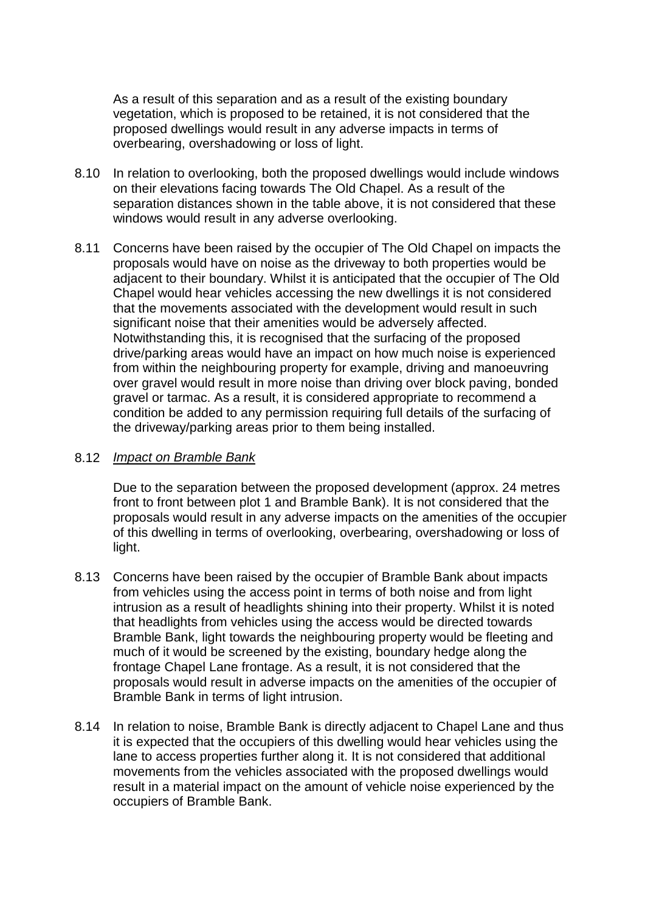As a result of this separation and as a result of the existing boundary vegetation, which is proposed to be retained, it is not considered that the proposed dwellings would result in any adverse impacts in terms of overbearing, overshadowing or loss of light.

- 8.10 In relation to overlooking, both the proposed dwellings would include windows on their elevations facing towards The Old Chapel. As a result of the separation distances shown in the table above, it is not considered that these windows would result in any adverse overlooking.
- 8.11 Concerns have been raised by the occupier of The Old Chapel on impacts the proposals would have on noise as the driveway to both properties would be adjacent to their boundary. Whilst it is anticipated that the occupier of The Old Chapel would hear vehicles accessing the new dwellings it is not considered that the movements associated with the development would result in such significant noise that their amenities would be adversely affected. Notwithstanding this, it is recognised that the surfacing of the proposed drive/parking areas would have an impact on how much noise is experienced from within the neighbouring property for example, driving and manoeuvring over gravel would result in more noise than driving over block paving, bonded gravel or tarmac. As a result, it is considered appropriate to recommend a condition be added to any permission requiring full details of the surfacing of the driveway/parking areas prior to them being installed.

#### 8.12 *Impact on Bramble Bank*

Due to the separation between the proposed development (approx. 24 metres front to front between plot 1 and Bramble Bank). It is not considered that the proposals would result in any adverse impacts on the amenities of the occupier of this dwelling in terms of overlooking, overbearing, overshadowing or loss of light.

- 8.13 Concerns have been raised by the occupier of Bramble Bank about impacts from vehicles using the access point in terms of both noise and from light intrusion as a result of headlights shining into their property. Whilst it is noted that headlights from vehicles using the access would be directed towards Bramble Bank, light towards the neighbouring property would be fleeting and much of it would be screened by the existing, boundary hedge along the frontage Chapel Lane frontage. As a result, it is not considered that the proposals would result in adverse impacts on the amenities of the occupier of Bramble Bank in terms of light intrusion.
- 8.14 In relation to noise, Bramble Bank is directly adjacent to Chapel Lane and thus it is expected that the occupiers of this dwelling would hear vehicles using the lane to access properties further along it. It is not considered that additional movements from the vehicles associated with the proposed dwellings would result in a material impact on the amount of vehicle noise experienced by the occupiers of Bramble Bank.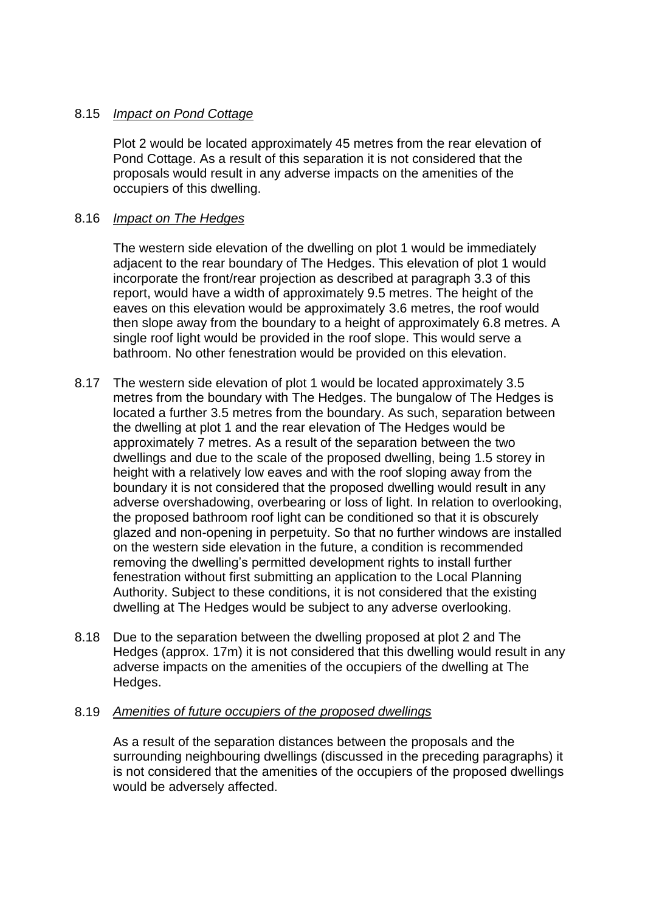### 8.15 *Impact on Pond Cottage*

Plot 2 would be located approximately 45 metres from the rear elevation of Pond Cottage. As a result of this separation it is not considered that the proposals would result in any adverse impacts on the amenities of the occupiers of this dwelling.

### 8.16 *Impact on The Hedges*

The western side elevation of the dwelling on plot 1 would be immediately adjacent to the rear boundary of The Hedges. This elevation of plot 1 would incorporate the front/rear projection as described at paragraph 3.3 of this report, would have a width of approximately 9.5 metres. The height of the eaves on this elevation would be approximately 3.6 metres, the roof would then slope away from the boundary to a height of approximately 6.8 metres. A single roof light would be provided in the roof slope. This would serve a bathroom. No other fenestration would be provided on this elevation.

- 8.17 The western side elevation of plot 1 would be located approximately 3.5 metres from the boundary with The Hedges. The bungalow of The Hedges is located a further 3.5 metres from the boundary. As such, separation between the dwelling at plot 1 and the rear elevation of The Hedges would be approximately 7 metres. As a result of the separation between the two dwellings and due to the scale of the proposed dwelling, being 1.5 storey in height with a relatively low eaves and with the roof sloping away from the boundary it is not considered that the proposed dwelling would result in any adverse overshadowing, overbearing or loss of light. In relation to overlooking, the proposed bathroom roof light can be conditioned so that it is obscurely glazed and non-opening in perpetuity. So that no further windows are installed on the western side elevation in the future, a condition is recommended removing the dwelling's permitted development rights to install further fenestration without first submitting an application to the Local Planning Authority. Subject to these conditions, it is not considered that the existing dwelling at The Hedges would be subject to any adverse overlooking.
- 8.18 Due to the separation between the dwelling proposed at plot 2 and The Hedges (approx. 17m) it is not considered that this dwelling would result in any adverse impacts on the amenities of the occupiers of the dwelling at The Hedges.

#### 8.19 *Amenities of future occupiers of the proposed dwellings*

As a result of the separation distances between the proposals and the surrounding neighbouring dwellings (discussed in the preceding paragraphs) it is not considered that the amenities of the occupiers of the proposed dwellings would be adversely affected.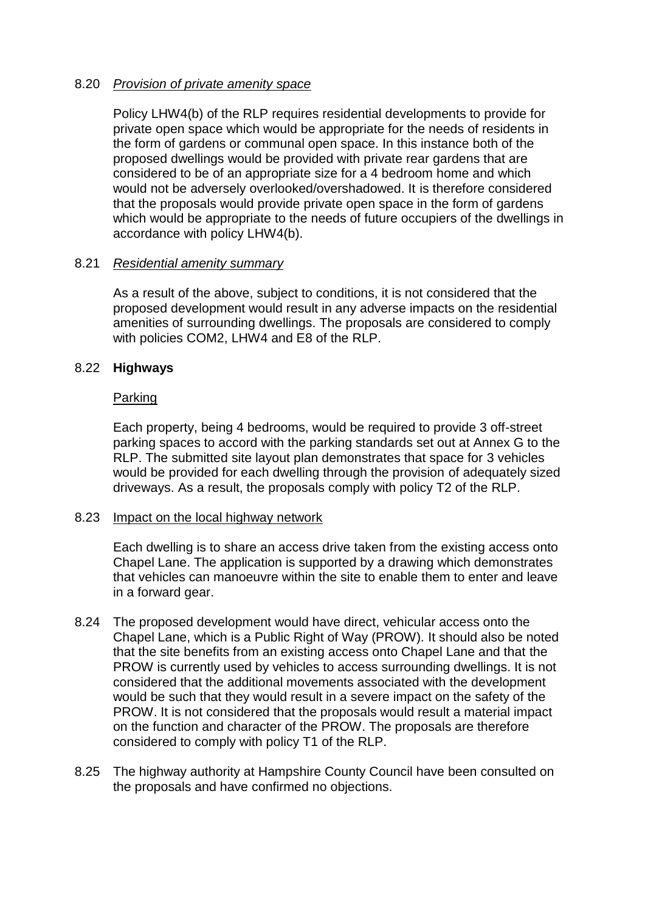#### 8.20 *Provision of private amenity space*

Policy LHW4(b) of the RLP requires residential developments to provide for private open space which would be appropriate for the needs of residents in the form of gardens or communal open space. In this instance both of the proposed dwellings would be provided with private rear gardens that are considered to be of an appropriate size for a 4 bedroom home and which would not be adversely overlooked/overshadowed. It is therefore considered that the proposals would provide private open space in the form of gardens which would be appropriate to the needs of future occupiers of the dwellings in accordance with policy LHW4(b).

#### 8.21 *Residential amenity summary*

As a result of the above, subject to conditions, it is not considered that the proposed development would result in any adverse impacts on the residential amenities of surrounding dwellings. The proposals are considered to comply with policies COM2, LHW4 and E8 of the RLP.

## 8.22 **Highways**

## Parking

Each property, being 4 bedrooms, would be required to provide 3 off-street parking spaces to accord with the parking standards set out at Annex G to the RLP. The submitted site layout plan demonstrates that space for 3 vehicles would be provided for each dwelling through the provision of adequately sized driveways. As a result, the proposals comply with policy T2 of the RLP.

#### 8.23 Impact on the local highway network

Each dwelling is to share an access drive taken from the existing access onto Chapel Lane. The application is supported by a drawing which demonstrates that vehicles can manoeuvre within the site to enable them to enter and leave in a forward gear.

- 8.24 The proposed development would have direct, vehicular access onto the Chapel Lane, which is a Public Right of Way (PROW). It should also be noted that the site benefits from an existing access onto Chapel Lane and that the PROW is currently used by vehicles to access surrounding dwellings. It is not considered that the additional movements associated with the development would be such that they would result in a severe impact on the safety of the PROW. It is not considered that the proposals would result a material impact on the function and character of the PROW. The proposals are therefore considered to comply with policy T1 of the RLP.
- 8.25 The highway authority at Hampshire County Council have been consulted on the proposals and have confirmed no objections.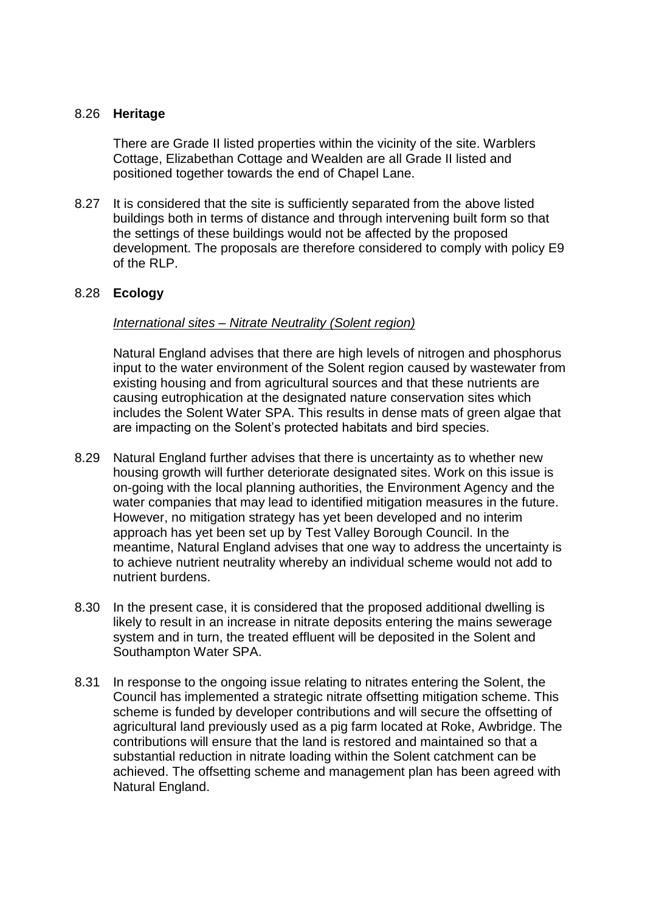#### 8.26 **Heritage**

There are Grade II listed properties within the vicinity of the site. Warblers Cottage, Elizabethan Cottage and Wealden are all Grade II listed and positioned together towards the end of Chapel Lane.

8.27 It is considered that the site is sufficiently separated from the above listed buildings both in terms of distance and through intervening built form so that the settings of these buildings would not be affected by the proposed development. The proposals are therefore considered to comply with policy E9 of the RLP.

#### 8.28 **Ecology**

#### *International sites – Nitrate Neutrality (Solent region)*

Natural England advises that there are high levels of nitrogen and phosphorus input to the water environment of the Solent region caused by wastewater from existing housing and from agricultural sources and that these nutrients are causing eutrophication at the designated nature conservation sites which includes the Solent Water SPA. This results in dense mats of green algae that are impacting on the Solent's protected habitats and bird species.

- 8.29 Natural England further advises that there is uncertainty as to whether new housing growth will further deteriorate designated sites. Work on this issue is on-going with the local planning authorities, the Environment Agency and the water companies that may lead to identified mitigation measures in the future. However, no mitigation strategy has yet been developed and no interim approach has yet been set up by Test Valley Borough Council. In the meantime, Natural England advises that one way to address the uncertainty is to achieve nutrient neutrality whereby an individual scheme would not add to nutrient burdens.
- 8.30 In the present case, it is considered that the proposed additional dwelling is likely to result in an increase in nitrate deposits entering the mains sewerage system and in turn, the treated effluent will be deposited in the Solent and Southampton Water SPA.
- 8.31 In response to the ongoing issue relating to nitrates entering the Solent, the Council has implemented a strategic nitrate offsetting mitigation scheme. This scheme is funded by developer contributions and will secure the offsetting of agricultural land previously used as a pig farm located at Roke, Awbridge. The contributions will ensure that the land is restored and maintained so that a substantial reduction in nitrate loading within the Solent catchment can be achieved. The offsetting scheme and management plan has been agreed with Natural England.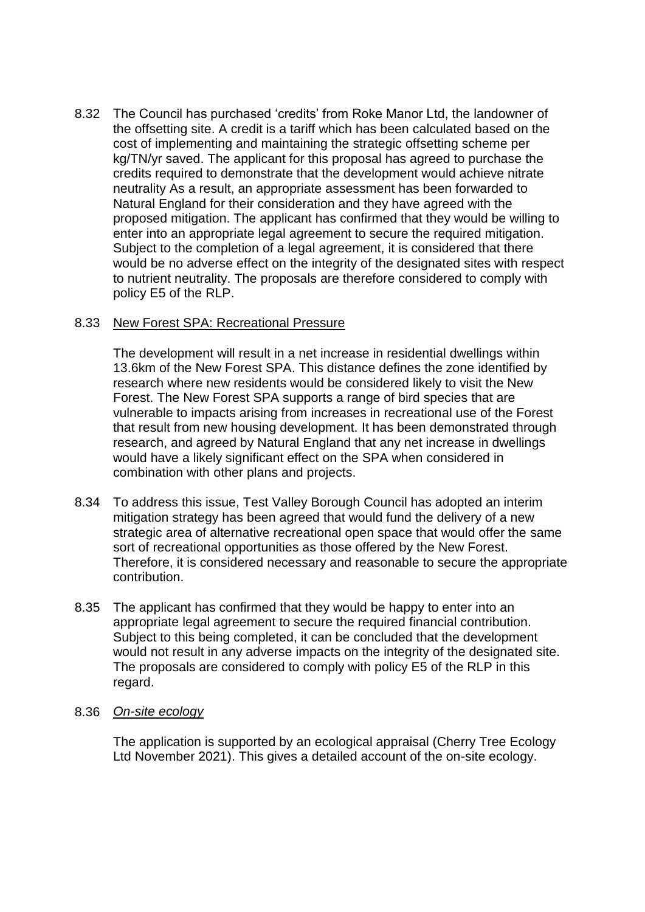8.32 The Council has purchased 'credits' from Roke Manor Ltd, the landowner of the offsetting site. A credit is a tariff which has been calculated based on the cost of implementing and maintaining the strategic offsetting scheme per kg/TN/yr saved. The applicant for this proposal has agreed to purchase the credits required to demonstrate that the development would achieve nitrate neutrality As a result, an appropriate assessment has been forwarded to Natural England for their consideration and they have agreed with the proposed mitigation. The applicant has confirmed that they would be willing to enter into an appropriate legal agreement to secure the required mitigation. Subject to the completion of a legal agreement, it is considered that there would be no adverse effect on the integrity of the designated sites with respect to nutrient neutrality. The proposals are therefore considered to comply with policy E5 of the RLP.

#### 8.33 New Forest SPA: Recreational Pressure

The development will result in a net increase in residential dwellings within 13.6km of the New Forest SPA. This distance defines the zone identified by research where new residents would be considered likely to visit the New Forest. The New Forest SPA supports a range of bird species that are vulnerable to impacts arising from increases in recreational use of the Forest that result from new housing development. It has been demonstrated through research, and agreed by Natural England that any net increase in dwellings would have a likely significant effect on the SPA when considered in combination with other plans and projects.

- 8.34 To address this issue, Test Valley Borough Council has adopted an interim mitigation strategy has been agreed that would fund the delivery of a new strategic area of alternative recreational open space that would offer the same sort of recreational opportunities as those offered by the New Forest. Therefore, it is considered necessary and reasonable to secure the appropriate contribution.
- 8.35 The applicant has confirmed that they would be happy to enter into an appropriate legal agreement to secure the required financial contribution. Subject to this being completed, it can be concluded that the development would not result in any adverse impacts on the integrity of the designated site. The proposals are considered to comply with policy E5 of the RLP in this regard.

#### 8.36 *On-site ecology*

The application is supported by an ecological appraisal (Cherry Tree Ecology Ltd November 2021). This gives a detailed account of the on-site ecology.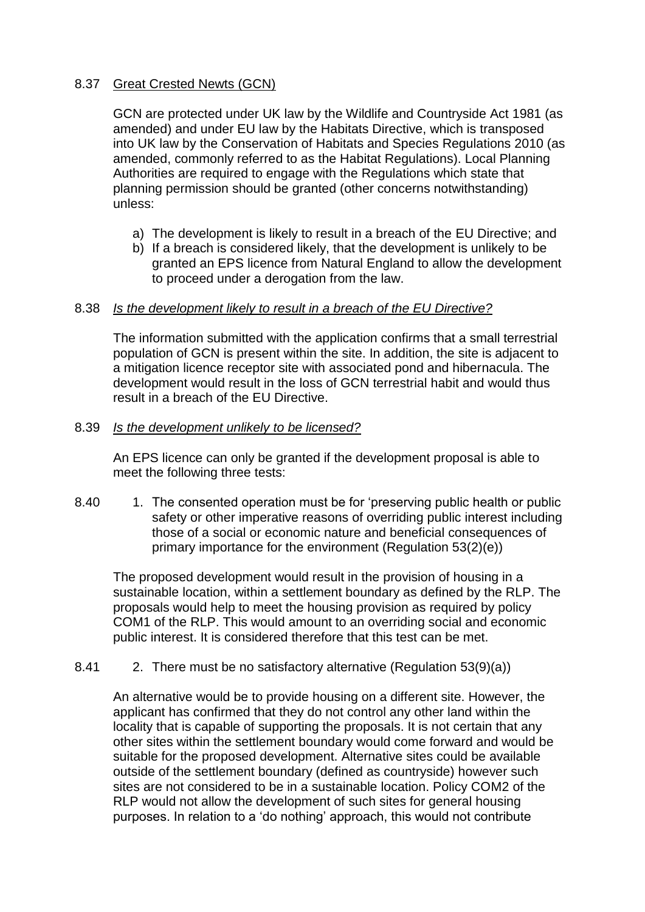### 8.37 Great Crested Newts (GCN)

GCN are protected under UK law by the Wildlife and Countryside Act 1981 (as amended) and under EU law by the Habitats Directive, which is transposed into UK law by the Conservation of Habitats and Species Regulations 2010 (as amended, commonly referred to as the Habitat Regulations). Local Planning Authorities are required to engage with the Regulations which state that planning permission should be granted (other concerns notwithstanding) unless:

- a) The development is likely to result in a breach of the EU Directive; and
- b) If a breach is considered likely, that the development is unlikely to be granted an EPS licence from Natural England to allow the development to proceed under a derogation from the law.

#### 8.38 *Is the development likely to result in a breach of the EU Directive?*

The information submitted with the application confirms that a small terrestrial population of GCN is present within the site. In addition, the site is adjacent to a mitigation licence receptor site with associated pond and hibernacula. The development would result in the loss of GCN terrestrial habit and would thus result in a breach of the EU Directive.

#### 8.39 *Is the development unlikely to be licensed?*

An EPS licence can only be granted if the development proposal is able to meet the following three tests:

8.40 1. The consented operation must be for 'preserving public health or public safety or other imperative reasons of overriding public interest including those of a social or economic nature and beneficial consequences of primary importance for the environment (Regulation 53(2)(e))

The proposed development would result in the provision of housing in a sustainable location, within a settlement boundary as defined by the RLP. The proposals would help to meet the housing provision as required by policy COM1 of the RLP. This would amount to an overriding social and economic public interest. It is considered therefore that this test can be met.

# 8.41 2. There must be no satisfactory alternative (Regulation 53(9)(a))

An alternative would be to provide housing on a different site. However, the applicant has confirmed that they do not control any other land within the locality that is capable of supporting the proposals. It is not certain that any other sites within the settlement boundary would come forward and would be suitable for the proposed development. Alternative sites could be available outside of the settlement boundary (defined as countryside) however such sites are not considered to be in a sustainable location. Policy COM2 of the RLP would not allow the development of such sites for general housing purposes. In relation to a 'do nothing' approach, this would not contribute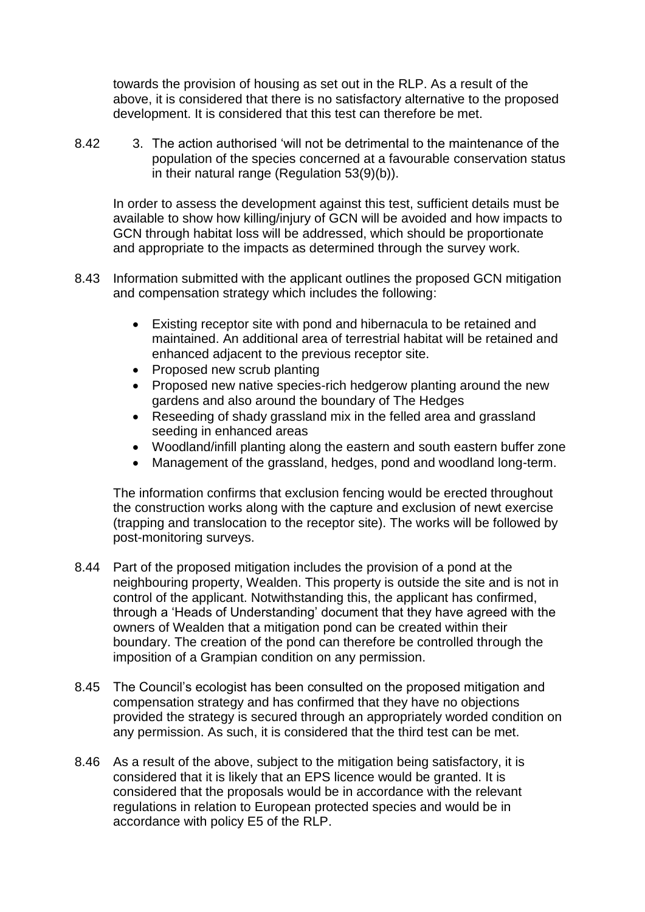towards the provision of housing as set out in the RLP. As a result of the above, it is considered that there is no satisfactory alternative to the proposed development. It is considered that this test can therefore be met.

8.42 3. The action authorised 'will not be detrimental to the maintenance of the population of the species concerned at a favourable conservation status in their natural range (Regulation 53(9)(b)).

In order to assess the development against this test, sufficient details must be available to show how killing/injury of GCN will be avoided and how impacts to GCN through habitat loss will be addressed, which should be proportionate and appropriate to the impacts as determined through the survey work.

- 8.43 Information submitted with the applicant outlines the proposed GCN mitigation and compensation strategy which includes the following:
	- Existing receptor site with pond and hibernacula to be retained and maintained. An additional area of terrestrial habitat will be retained and enhanced adjacent to the previous receptor site.
	- Proposed new scrub planting
	- Proposed new native species-rich hedgerow planting around the new gardens and also around the boundary of The Hedges
	- Reseeding of shady grassland mix in the felled area and grassland seeding in enhanced areas
	- Woodland/infill planting along the eastern and south eastern buffer zone
	- Management of the grassland, hedges, pond and woodland long-term.

The information confirms that exclusion fencing would be erected throughout the construction works along with the capture and exclusion of newt exercise (trapping and translocation to the receptor site). The works will be followed by post-monitoring surveys.

- 8.44 Part of the proposed mitigation includes the provision of a pond at the neighbouring property, Wealden. This property is outside the site and is not in control of the applicant. Notwithstanding this, the applicant has confirmed, through a 'Heads of Understanding' document that they have agreed with the owners of Wealden that a mitigation pond can be created within their boundary. The creation of the pond can therefore be controlled through the imposition of a Grampian condition on any permission.
- 8.45 The Council's ecologist has been consulted on the proposed mitigation and compensation strategy and has confirmed that they have no objections provided the strategy is secured through an appropriately worded condition on any permission. As such, it is considered that the third test can be met.
- 8.46 As a result of the above, subject to the mitigation being satisfactory, it is considered that it is likely that an EPS licence would be granted. It is considered that the proposals would be in accordance with the relevant regulations in relation to European protected species and would be in accordance with policy E5 of the RLP.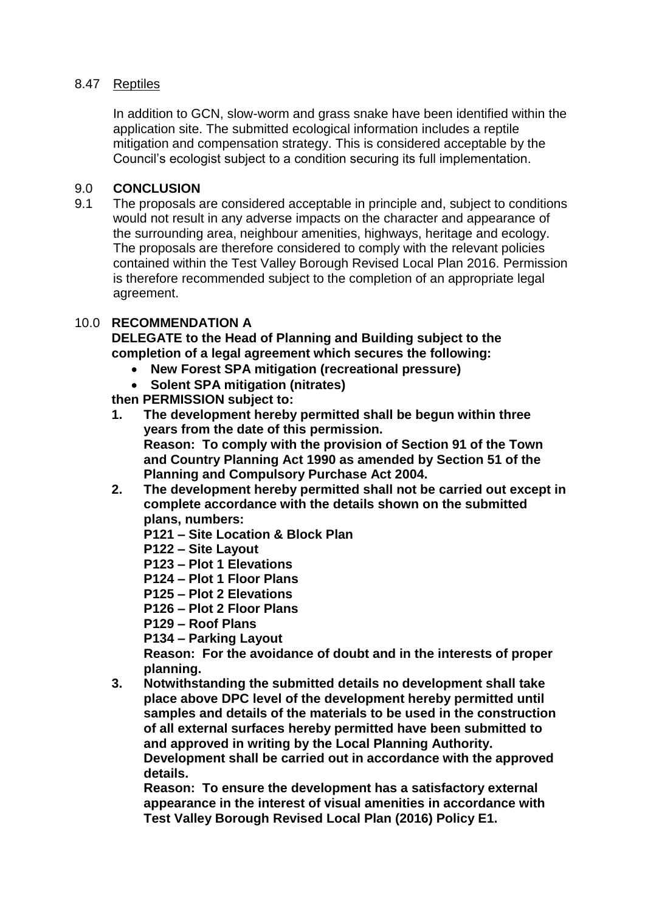# 8.47 Reptiles

In addition to GCN, slow-worm and grass snake have been identified within the application site. The submitted ecological information includes a reptile mitigation and compensation strategy. This is considered acceptable by the Council's ecologist subject to a condition securing its full implementation.

## 9.0 **CONCLUSION**

9.1 The proposals are considered acceptable in principle and, subject to conditions would not result in any adverse impacts on the character and appearance of the surrounding area, neighbour amenities, highways, heritage and ecology. The proposals are therefore considered to comply with the relevant policies contained within the Test Valley Borough Revised Local Plan 2016. Permission is therefore recommended subject to the completion of an appropriate legal agreement.

## 10.0 **RECOMMENDATION A**

**DELEGATE to the Head of Planning and Building subject to the completion of a legal agreement which secures the following:**

- **New Forest SPA mitigation (recreational pressure)**
- **Solent SPA mitigation (nitrates)**

**then PERMISSION subject to:**

- **1. The development hereby permitted shall be begun within three years from the date of this permission. Reason: To comply with the provision of Section 91 of the Town and Country Planning Act 1990 as amended by Section 51 of the Planning and Compulsory Purchase Act 2004.**
- **2. The development hereby permitted shall not be carried out except in complete accordance with the details shown on the submitted plans, numbers:**
	- **P121 – Site Location & Block Plan**
	- **P122 – Site Layout**
	- **P123 – Plot 1 Elevations**
	- **P124 – Plot 1 Floor Plans**
	- **P125 – Plot 2 Elevations**
	- **P126 – Plot 2 Floor Plans**
	- **P129 – Roof Plans**
	- **P134 – Parking Layout**

**Reason: For the avoidance of doubt and in the interests of proper planning.**

**3. Notwithstanding the submitted details no development shall take place above DPC level of the development hereby permitted until samples and details of the materials to be used in the construction of all external surfaces hereby permitted have been submitted to and approved in writing by the Local Planning Authority. Development shall be carried out in accordance with the approved** 

**details. Reason: To ensure the development has a satisfactory external appearance in the interest of visual amenities in accordance with Test Valley Borough Revised Local Plan (2016) Policy E1.**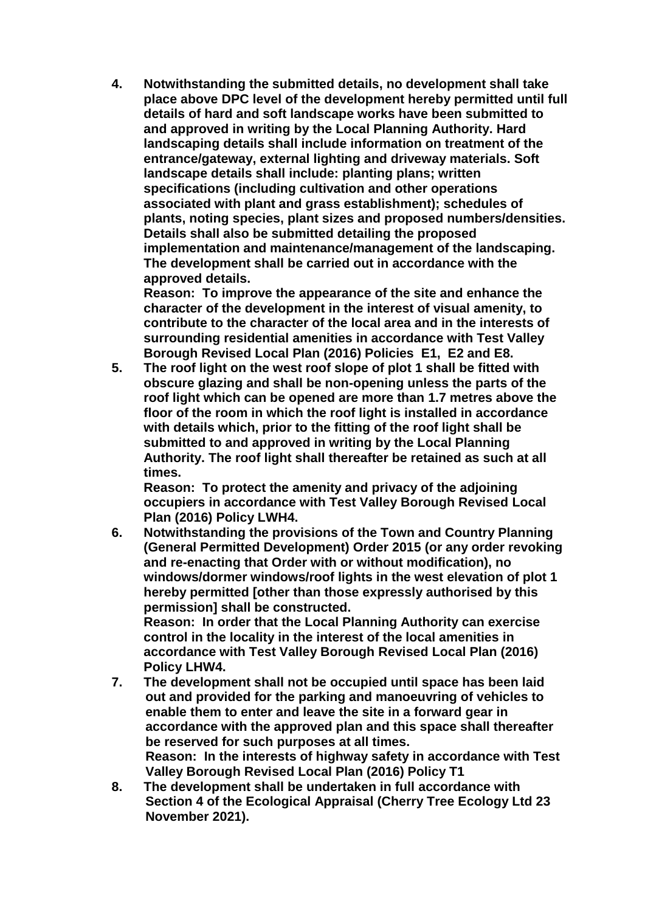**4. Notwithstanding the submitted details, no development shall take place above DPC level of the development hereby permitted until full details of hard and soft landscape works have been submitted to and approved in writing by the Local Planning Authority. Hard landscaping details shall include information on treatment of the entrance/gateway, external lighting and driveway materials. Soft landscape details shall include: planting plans; written specifications (including cultivation and other operations associated with plant and grass establishment); schedules of plants, noting species, plant sizes and proposed numbers/densities. Details shall also be submitted detailing the proposed implementation and maintenance/management of the landscaping. The development shall be carried out in accordance with the approved details.** 

**Reason: To improve the appearance of the site and enhance the character of the development in the interest of visual amenity, to contribute to the character of the local area and in the interests of surrounding residential amenities in accordance with Test Valley Borough Revised Local Plan (2016) Policies E1, E2 and E8.**

**5. The roof light on the west roof slope of plot 1 shall be fitted with obscure glazing and shall be non-opening unless the parts of the roof light which can be opened are more than 1.7 metres above the floor of the room in which the roof light is installed in accordance with details which, prior to the fitting of the roof light shall be submitted to and approved in writing by the Local Planning Authority. The roof light shall thereafter be retained as such at all times.** 

**Reason: To protect the amenity and privacy of the adjoining occupiers in accordance with Test Valley Borough Revised Local Plan (2016) Policy LWH4.**

**6. Notwithstanding the provisions of the Town and Country Planning (General Permitted Development) Order 2015 (or any order revoking and re-enacting that Order with or without modification), no windows/dormer windows/roof lights in the west elevation of plot 1 hereby permitted [other than those expressly authorised by this permission] shall be constructed. Reason: In order that the Local Planning Authority can exercise** 

**control in the locality in the interest of the local amenities in accordance with Test Valley Borough Revised Local Plan (2016) Policy LHW4.**

- **7. The development shall not be occupied until space has been laid out and provided for the parking and manoeuvring of vehicles to enable them to enter and leave the site in a forward gear in accordance with the approved plan and this space shall thereafter be reserved for such purposes at all times. Reason: In the interests of highway safety in accordance with Test Valley Borough Revised Local Plan (2016) Policy T1**
- **8. The development shall be undertaken in full accordance with Section 4 of the Ecological Appraisal (Cherry Tree Ecology Ltd 23 November 2021).**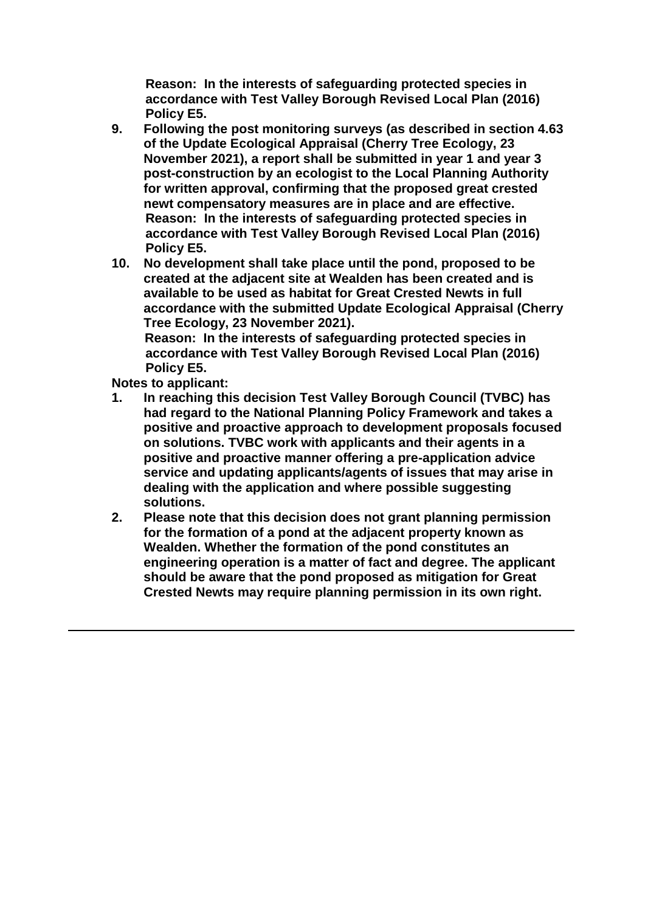**Reason: In the interests of safeguarding protected species in accordance with Test Valley Borough Revised Local Plan (2016) Policy E5.**

- **9. Following the post monitoring surveys (as described in section 4.63 of the Update Ecological Appraisal (Cherry Tree Ecology, 23 November 2021), a report shall be submitted in year 1 and year 3 post-construction by an ecologist to the Local Planning Authority for written approval, confirming that the proposed great crested newt compensatory measures are in place and are effective. Reason: In the interests of safeguarding protected species in accordance with Test Valley Borough Revised Local Plan (2016) Policy E5.**
- **10. No development shall take place until the pond, proposed to be created at the adjacent site at Wealden has been created and is available to be used as habitat for Great Crested Newts in full accordance with the submitted Update Ecological Appraisal (Cherry Tree Ecology, 23 November 2021). Reason: In the interests of safeguarding protected species in**

**accordance with Test Valley Borough Revised Local Plan (2016) Policy E5.**

**Notes to applicant:**

- **1. In reaching this decision Test Valley Borough Council (TVBC) has had regard to the National Planning Policy Framework and takes a positive and proactive approach to development proposals focused on solutions. TVBC work with applicants and their agents in a positive and proactive manner offering a pre-application advice service and updating applicants/agents of issues that may arise in dealing with the application and where possible suggesting solutions.**
- **2. Please note that this decision does not grant planning permission for the formation of a pond at the adjacent property known as Wealden. Whether the formation of the pond constitutes an engineering operation is a matter of fact and degree. The applicant should be aware that the pond proposed as mitigation for Great Crested Newts may require planning permission in its own right.**